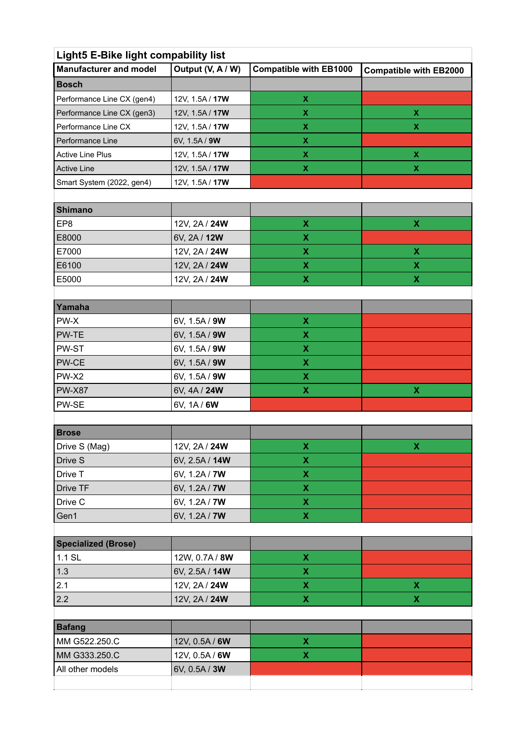## **Light5 E-Bike light compability list**

| <b>Manufacturer and model</b> | Output (V, A / W) | <b>Compatible with EB1000</b> | <b>Compatible with EB2000</b> |
|-------------------------------|-------------------|-------------------------------|-------------------------------|
| <b>Bosch</b>                  |                   |                               |                               |
| Performance Line CX (gen4)    | 12V, 1.5A / 17W   | х                             |                               |
| Performance Line CX (gen3)    | 12V, 1.5A / 17W   | х                             | х                             |
| Performance Line CX           | 12V, 1.5A / 17W   | х                             | х                             |
| Performance Line              | 6V, 1.5A / 9W     | х                             |                               |
| <b>Active Line Plus</b>       | 12V, 1.5A / 17W   | х                             |                               |
| <b>Active Line</b>            | 12V, 1.5A / 17W   | х                             | х                             |
| Smart System (2022, gen4)     | 12V, 1.5A / 17W   |                               |                               |

| Shimano |                     |  |
|---------|---------------------|--|
| EP8     | 12V, 2A / 24W       |  |
| E8000   | 6V, 2A / <b>12W</b> |  |
| E7000   | 12V, 2A / 24W       |  |
| E6100   | 12V, 2A / 24W       |  |
| E5000   | 12V, 2A / 24W       |  |

| Yamaha        |               |   |   |
|---------------|---------------|---|---|
| PW-X          | 6V, 1.5A / 9W | X |   |
| PW-TE         | 6V, 1.5A / 9W | х |   |
| PW-ST         | 6V, 1.5A / 9W | X |   |
| PW-CE         | 6V, 1.5A / 9W | X |   |
| PW-X2         | 6V, 1.5A / 9W | X |   |
| <b>PW-X87</b> | 6V, 4A / 24W  | х | X |
| PW-SE         | 6V, 1A / 6W   |   |   |
|               |               |   |   |

| <b>Brose</b>  |                |   |  |
|---------------|----------------|---|--|
| Drive S (Mag) | 12V, 2A / 24W  |   |  |
| Drive S       | 6V, 2.5A / 14W |   |  |
| Drive T       | 6V, 1.2A / 7W  | х |  |
| Drive TF      | 6V, 1.2A / 7W  | x |  |
| Drive C       | 6V, 1.2A / 7W  |   |  |
| Gen1          | 6V, 1.2A / 7W  |   |  |

| <b>Specialized (Brose)</b> |                |  |
|----------------------------|----------------|--|
| 1.1 SL                     | 12W, 0.7A / 8W |  |
| 1.3                        | 6V, 2.5A / 14W |  |
| 2.1                        | 12V, 2A / 24W  |  |
| 2.2                        | 12V, 2A / 24W  |  |

| <b>Bafang</b>    |                      |  |
|------------------|----------------------|--|
| MM G522.250.C    | 12V, 0.5A / 6W       |  |
| MM G333.250.C    | 12V, 0.5A / 6W       |  |
| All other models | 6V, 0.5A / <b>3W</b> |  |
|                  |                      |  |